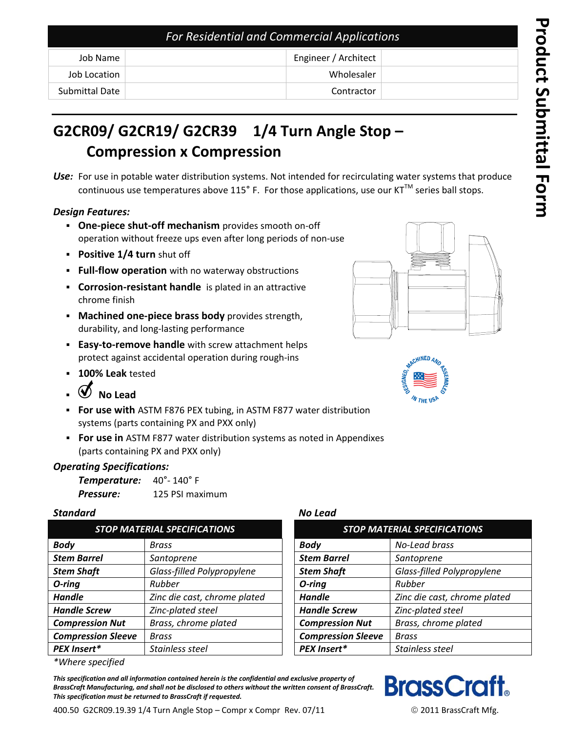| <b>For Residential and Commercial Applications</b> |                      |  |
|----------------------------------------------------|----------------------|--|
| Job Name                                           | Engineer / Architect |  |
| Job Location                                       | Wholesaler           |  |
| Submittal Date                                     | Contractor           |  |

# **G2CR09/ G2CR19/ G2CR39 1/4 Turn Angle Stop – Compression x Compression**

*Use:* For use in potable water distribution systems. Not intended for recirculating water systems that produce continuous use temperatures above 115 $^{\circ}$  F. For those applications, use our KT<sup>TM</sup> series ball stops.

### *Design Features:*

- **One-piece shut-off mechanism** provides smooth on-off operation without freeze ups even after long periods of non-use
- **Positive 1/4 turn** shut off
- **Full-flow operation** with no waterway obstructions
- **Corrosion-resistant handle** is plated in an attractive chrome finish
- **Machined one-piece brass body** provides strength, durability, and long-lasting performance
- **Easy-to-remove handle** with screw attachment helps protect against accidental operation during rough-ins
- **100% Leak** tested
- **No Lead**
- **For use with** ASTM F876 PEX tubing, in ASTM F877 water distribution systems (parts containing PX and PXX only)
- **For use in** ASTM F877 water distribution systems as noted in Appendixes (parts containing PX and PXX only)

## *Operating Specifications:*

| Temperature: | $40^{\circ}$ - 140 $^{\circ}$ F |  |
|--------------|---------------------------------|--|
| Pressure:    | 125 PSI maximum                 |  |

#### *Standard No Lead*

| <b>STOP MATERIAL SPECIFICATIONS</b> |                              | <b>STOP MATERIAL SPECIFICATIONS</b> |                              |
|-------------------------------------|------------------------------|-------------------------------------|------------------------------|
| <b>Body</b>                         | Brass                        | <b>Body</b>                         | No-Lead brass                |
| <b>Stem Barrel</b>                  | Santoprene                   | <b>Stem Barrel</b>                  | Santoprene                   |
| <b>Stem Shaft</b>                   | Glass-filled Polypropylene   | <b>Stem Shaft</b>                   | Glass-filled Polypropylene   |
| $O$ -ring                           | Rubber                       | O-ring                              | Rubber                       |
| <b>Handle</b>                       | Zinc die cast, chrome plated | <b>Handle</b>                       | Zinc die cast, chrome plated |
| <b>Handle Screw</b>                 | Zinc-plated steel            | <b>Handle Screw</b>                 | Zinc-plated steel            |
| <b>Compression Nut</b>              | Brass, chrome plated         | <b>Compression Nut</b>              | Brass, chrome plated         |
| <b>Compression Sleeve</b>           | <b>Brass</b>                 | <b>Compression Sleeve</b>           | <b>Brass</b>                 |
| PEX Insert*                         | Stainless steel              | PEX Insert*                         | Stainless steel              |

*\*Where specified*

*This specification and all information contained herein is the confidential and exclusive property of BrassCraft Manufacturing, and shall not be disclosed to others without the written consent of BrassCraft. This specification must be returned to BrassCraft if requested.*







| STOP MATERIAL SPECIFICATIONS |                              |                           | <b>STOP MATERIAL SPECIFICATIONS</b> |  |
|------------------------------|------------------------------|---------------------------|-------------------------------------|--|
|                              | <b>Brass</b>                 | <b>Body</b>               | No-Lead brass                       |  |
| el                           | Santoprene                   | <b>Stem Barrel</b>        | Santoprene                          |  |
|                              | Glass-filled Polypropylene   | <b>Stem Shaft</b>         | Glass-filled Polypropylene          |  |
|                              | Rubber                       | O-ring                    | Rubber                              |  |
|                              | Zinc die cast, chrome plated | <b>Handle</b>             | Zinc die cast, chrome plated        |  |
| rew                          | Zinc-plated steel            | <b>Handle Screw</b>       | Zinc-plated steel                   |  |
| ion Nut                      | Brass, chrome plated         | <b>Compression Nut</b>    | Brass, chrome plated                |  |
| ion Sleeve                   | <b>Brass</b>                 | <b>Compression Sleeve</b> | <b>Brass</b>                        |  |
| .∗                           | Stainless steel              | PEX Insert*               | Stainless steel                     |  |